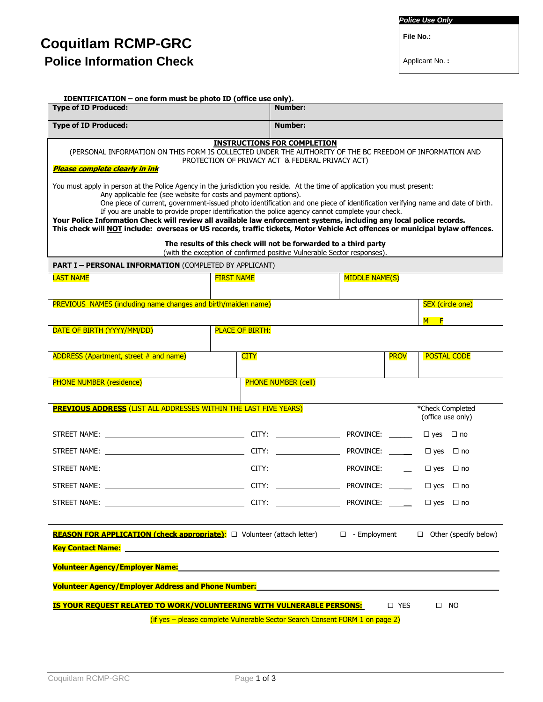## **Coquitlam RCMP-GRC Police Information Check**

*Police Use Only*

 **File No.:**

Applicant No. **:**

| <b>Type of ID Produced:</b>                                                                                                                                                                                                                                                                                                                                                         | <b>Number:</b>                                                                                                                                                                                                                                                                                        |                       |                                       |
|-------------------------------------------------------------------------------------------------------------------------------------------------------------------------------------------------------------------------------------------------------------------------------------------------------------------------------------------------------------------------------------|-------------------------------------------------------------------------------------------------------------------------------------------------------------------------------------------------------------------------------------------------------------------------------------------------------|-----------------------|---------------------------------------|
| <b>Type of ID Produced:</b>                                                                                                                                                                                                                                                                                                                                                         | Number:                                                                                                                                                                                                                                                                                               |                       |                                       |
|                                                                                                                                                                                                                                                                                                                                                                                     | <b>INSTRUCTIONS FOR COMPLETION</b><br>(PERSONAL INFORMATION ON THIS FORM IS COLLECTED UNDER THE AUTHORITY OF THE BC FREEDOM OF INFORMATION AND<br>PROTECTION OF PRIVACY ACT & FEDERAL PRIVACY ACT)                                                                                                    |                       |                                       |
| <b>Please complete clearly in ink</b>                                                                                                                                                                                                                                                                                                                                               |                                                                                                                                                                                                                                                                                                       |                       |                                       |
| You must apply in person at the Police Agency in the jurisdiction you reside. At the time of application you must present:<br>Your Police Information Check will review all available law enforcement systems, including any local police records.<br>This check will NOT include: overseas or US records, traffic tickets, Motor Vehicle Act offences or municipal bylaw offences. | Any applicable fee (see website for costs and payment options).<br>One piece of current, government-issued photo identification and one piece of identification verifying name and date of birth.<br>If you are unable to provide proper identification the police agency cannot complete your check. |                       |                                       |
|                                                                                                                                                                                                                                                                                                                                                                                     | The results of this check will not be forwarded to a third party<br>(with the exception of confirmed positive Vulnerable Sector responses).                                                                                                                                                           |                       |                                       |
| <b>PART I - PERSONAL INFORMATION (COMPLETED BY APPLICANT)</b>                                                                                                                                                                                                                                                                                                                       |                                                                                                                                                                                                                                                                                                       |                       |                                       |
| <b>LAST NAME</b>                                                                                                                                                                                                                                                                                                                                                                    | <b>FIRST NAME</b>                                                                                                                                                                                                                                                                                     | <b>MIDDLE NAME(S)</b> |                                       |
| PREVIOUS NAMES (including name changes and birth/maiden name)                                                                                                                                                                                                                                                                                                                       |                                                                                                                                                                                                                                                                                                       |                       | <b>SEX</b> (circle one)               |
|                                                                                                                                                                                                                                                                                                                                                                                     |                                                                                                                                                                                                                                                                                                       |                       | M F                                   |
| DATE OF BIRTH (YYYY/MM/DD)                                                                                                                                                                                                                                                                                                                                                          | <b>PLACE OF BIRTH:</b>                                                                                                                                                                                                                                                                                |                       |                                       |
| <b>ADDRESS (Apartment, street # and name)</b>                                                                                                                                                                                                                                                                                                                                       | <b>CITY</b>                                                                                                                                                                                                                                                                                           | <b>PROV</b>           | <b>POSTAL CODE</b>                    |
| <b>PHONE NUMBER (residence)</b>                                                                                                                                                                                                                                                                                                                                                     | <b>PHONE NUMBER (cell)</b>                                                                                                                                                                                                                                                                            |                       |                                       |
| <b>PREVIOUS ADDRESS</b> (LIST ALL ADDRESSES WITHIN THE LAST FIVE YEARS)                                                                                                                                                                                                                                                                                                             |                                                                                                                                                                                                                                                                                                       |                       | *Check Completed<br>(office use only) |
|                                                                                                                                                                                                                                                                                                                                                                                     |                                                                                                                                                                                                                                                                                                       |                       | $\Box$ yes $\Box$ no                  |
|                                                                                                                                                                                                                                                                                                                                                                                     |                                                                                                                                                                                                                                                                                                       |                       | $\Box$ yes $\Box$ no                  |
|                                                                                                                                                                                                                                                                                                                                                                                     |                                                                                                                                                                                                                                                                                                       |                       | $\Box$ yes $\Box$ no                  |
|                                                                                                                                                                                                                                                                                                                                                                                     |                                                                                                                                                                                                                                                                                                       |                       | $\Box$ yes $\Box$ no                  |
|                                                                                                                                                                                                                                                                                                                                                                                     |                                                                                                                                                                                                                                                                                                       |                       |                                       |
|                                                                                                                                                                                                                                                                                                                                                                                     | REASON FOR APPLICATION (check appropriate): $\Box$ Volunteer (attach letter) $\Box$ - Employment $\Box$ Other (specify below)                                                                                                                                                                         |                       |                                       |
|                                                                                                                                                                                                                                                                                                                                                                                     |                                                                                                                                                                                                                                                                                                       |                       |                                       |
|                                                                                                                                                                                                                                                                                                                                                                                     |                                                                                                                                                                                                                                                                                                       |                       |                                       |
|                                                                                                                                                                                                                                                                                                                                                                                     |                                                                                                                                                                                                                                                                                                       |                       |                                       |
| <b>Volunteer Agency/Employer Address and Phone Number:</b>                                                                                                                                                                                                                                                                                                                          |                                                                                                                                                                                                                                                                                                       |                       |                                       |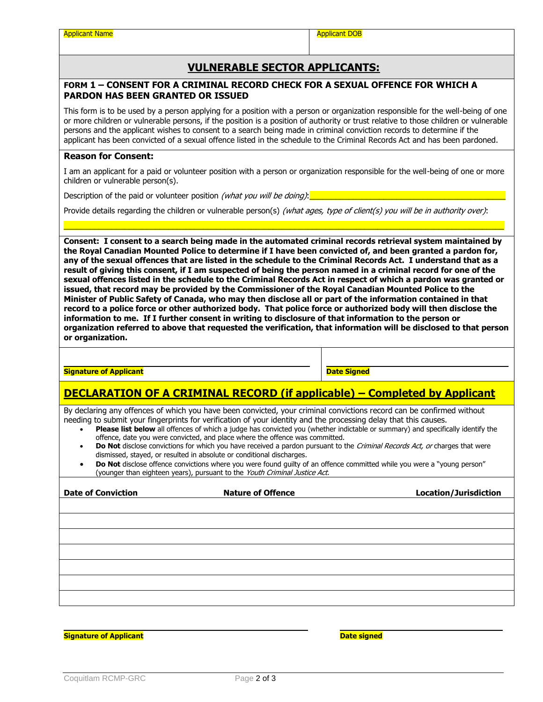## **VULNERABLE SECTOR APPLICANTS:**

#### **FORM 1 – CONSENT FOR A CRIMINAL RECORD CHECK FOR A SEXUAL OFFENCE FOR WHICH A PARDON HAS BEEN GRANTED OR ISSUED**

This form is to be used by a person applying for a position with a person or organization responsible for the well-being of one or more children or vulnerable persons, if the position is a position of authority or trust relative to those children or vulnerable persons and the applicant wishes to consent to a search being made in criminal conviction records to determine if the applicant has been convicted of a sexual offence listed in the schedule to the Criminal Records Act and has been pardoned.

#### **Reason for Consent:**

I am an applicant for a paid or volunteer position with a person or organization responsible for the well-being of one or more children or vulnerable person(s).

Description of the paid or volunteer position *(what you will be doing)*:

Provide details regarding the children or vulnerable person(s) (what ages, type of client(s) you will be in authority over):

\_\_\_\_\_\_\_\_\_\_\_\_\_\_\_\_\_\_\_\_\_\_\_\_\_\_\_\_\_\_\_\_\_\_\_\_\_\_\_\_\_\_\_\_\_\_\_\_\_\_\_\_\_\_\_\_\_\_\_\_\_\_\_\_\_\_\_\_\_\_\_\_\_\_\_\_\_\_\_\_\_\_\_\_\_\_\_\_\_\_\_\_\_\_\_\_\_\_\_\_\_

**Consent: I consent to a search being made in the automated criminal records retrieval system maintained by the Royal Canadian Mounted Police to determine if I have been convicted of, and been granted a pardon for, any of the sexual offences that are listed in the schedule to the Criminal Records Act. I understand that as a result of giving this consent, if I am suspected of being the person named in a criminal record for one of the sexual offences listed in the schedule to the Criminal Records Act in respect of which a pardon was granted or issued, that record may be provided by the Commissioner of the Royal Canadian Mounted Police to the Minister of Public Safety of Canada, who may then disclose all or part of the information contained in that record to a police force or other authorized body. That police force or authorized body will then disclose the information to me. If I further consent in writing to disclosure of that information to the person or organization referred to above that requested the verification, that information will be disclosed to that person or organization.**

#### **Signature of Applicant**

**Date Signed**

**\_\_\_\_\_**

## **DECLARATION OF A CRIMINAL RECORD (if applicable) – Completed by Applicant**

By declaring any offences of which you have been convicted, your criminal convictions record can be confirmed without needing to submit your fingerprints for verification of your identity and the processing delay that this causes.

 **Please list below** all offences of which a judge has convicted you (whether indictable or summary) and specifically identify the offence, date you were convicted, and place where the offence was committed.

**\_\_\_\_\_**

- Do Not disclose convictions for which you have received a pardon pursuant to the *Criminal Records Act, or* charges that were dismissed, stayed, or resulted in absolute or conditional discharges.
- **Do Not** disclose offence convictions where you were found guilty of an offence committed while you were a "young person" (younger than eighteen years), pursuant to the Youth Criminal Justice Act.

| <b>Date of Conviction</b> | <b>Nature of Offence</b> | <b>Location/Jurisdiction</b> |
|---------------------------|--------------------------|------------------------------|
|                           |                          |                              |
|                           |                          |                              |
|                           |                          |                              |
|                           |                          |                              |
|                           |                          |                              |
|                           |                          |                              |
|                           |                          |                              |